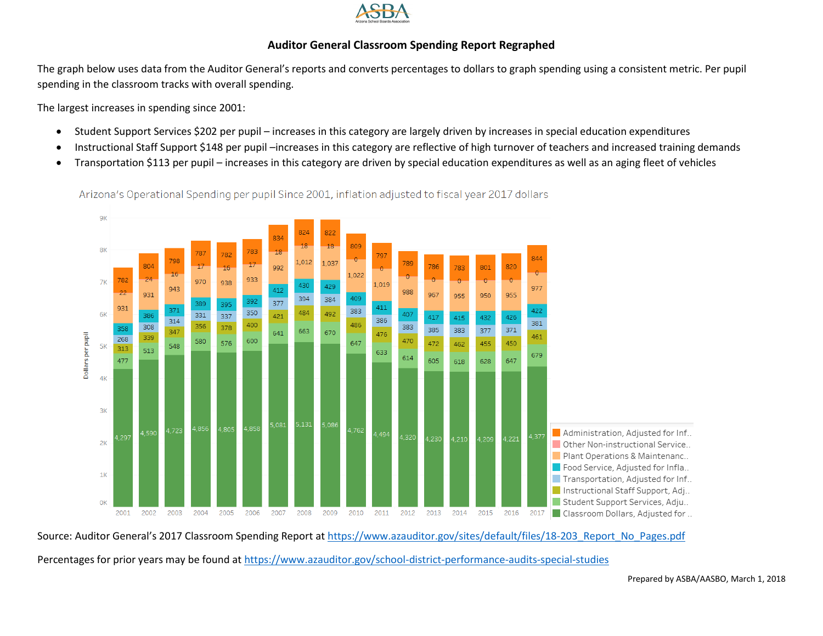

## **Auditor General Classroom Spending Report Regraphed**

The graph below uses data from the Auditor General's reports and converts percentages to dollars to graph spending using a consistent metric. Per pupil spending in the classroom tracks with overall spending.

The largest increases in spending since 2001:

- Student Support Services \$202 per pupil increases in this category are largely driven by increases in special education expenditures
- Instructional Staff Support \$148 per pupil –increases in this category are reflective of high turnover of teachers and increased training demands
- Transportation \$113 per pupil increases in this category are driven by special education expenditures as well as an aging fleet of vehicles

Arizona's Operational Spending per pupil Since 2001, inflation adjusted to fiscal year 2017 dollars



Source: Auditor General's 2017 Classroom Spending Report at [https://www.azauditor.gov/sites/default/files/18-203\\_Report\\_No\\_Pages.pdf](https://www.azauditor.gov/sites/default/files/18-203_Report_No_Pages.pdf)

Percentages for prior years may be found at<https://www.azauditor.gov/school-district-performance-audits-special-studies>

Prepared by ASBA/AASBO, March 1, 2018